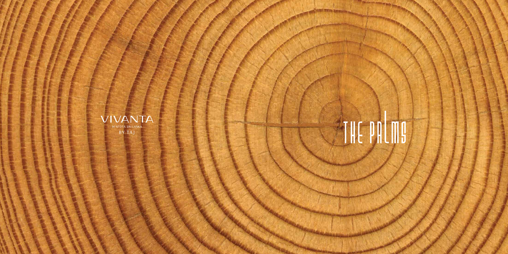

#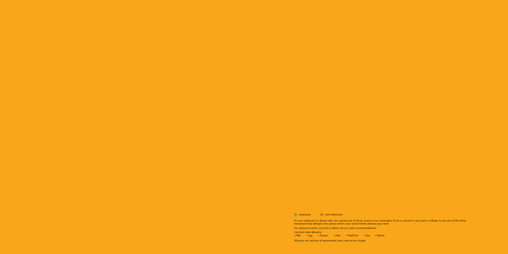$\bullet$  vegetarian  $\bullet$  non-vegetarian

It is our endeavour to always take very special care of all our guests in our restaurants. If you or anyone in your party is allergic to any one of the below mentioned food allergens then please inform your server before ordering your meal.

For enhanced variety at lunch or dinner ask our chefs recommendations.

Common food allergens:

• Milk • Egg • Peanut • Fish • Shell fish • Soy • Wheat

All prices are inclusive of government taxes and service charge.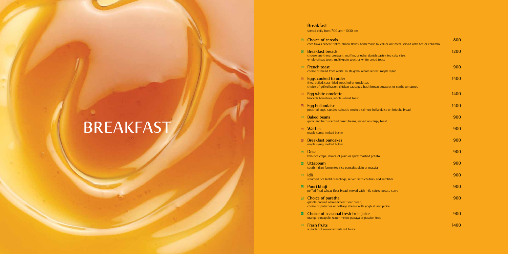### **Breakfast**

served daily from 7:00 am - 10:30 am

| $\hbox{\small\bf O}$ | <b>Choice of cereals</b><br>corn flakes, wheat flakes, choco flakes, homemade muesli or oat meal; served with hot or cold milk                                        | 800  |
|----------------------|-----------------------------------------------------------------------------------------------------------------------------------------------------------------------|------|
| $\hbox{\small\bf O}$ | <b>Breakfast breads</b><br>choose any three: croissant, muffins, brioche, danish pastry, tea cake slice,<br>whole-wheat toast, multi-grain toast or white bread toast | 1200 |
| $\boxed{\bullet}$    | <b>French toast</b><br>choice of bread from white, multi-grain, whole-wheat, maple syrup                                                                              | 900  |
| $\boxed{\bullet}$    | Eggs cooked to order<br>fried, boiled, scrambled, poached or omelettes,<br>choice of grilled bacon, chicken sausages, hash brown potatoes or confit tomatoes          | 1400 |
| $\hbox{\small\bf O}$ | Egg white omelette<br>broccoli, tomatoes, whole-wheat toast                                                                                                           | 1400 |
| $\boxed{\bullet}$    | Egg hollandaise<br>poached eggs, sautéed spinach, smoked salmon, hollandaise on brioche bread                                                                         | 1400 |
| $\bullet$            | <b>Baked beans</b><br>garlic and herb-scented baked beans; served on crispy toast                                                                                     | 900  |
| $\boxed{\bullet}$    | <b>Waffles</b><br>maple syrup, melted butter                                                                                                                          | 900  |
| $\hbox{\small\bf O}$ | <b>Breakfast pancakes</b><br>maple syrup, melted butter                                                                                                               | 900  |
| $\bullet$            | <b>Dosa</b><br>thin rice crepe, choice of plain or spicy mashed potato                                                                                                | 900  |
| $\hbox{\small\bf 0}$ | Uttappam<br>south indian fermented rice pancake, plain or masala                                                                                                      | 900  |
| $\hbox{\small\bf O}$ | <b>Idli</b><br>steamed rice lentil dumplings; served with chutney and sambhar                                                                                         | 900  |
| $\hbox{\small\bf 0}$ | Poori bhaji<br>puffed fried wheat flour bread; served with mild spiced potato curry                                                                                   | 900  |
| $\hbox{\small\bf O}$ | Choice of paratha<br>griddle-cooked whole-wheat flour bread,<br>choice of potatoes or cottage cheese with yoghurt and pickle                                          | 900  |
| $\hbox{\small\bf 0}$ | Choice of seasonal fresh fruit juice<br>orange, pineapple, water melon, papaya or passion fruit                                                                       | 900  |
| $\boxed{\bullet}$    | <b>Fresh fruits</b><br>a platter of seasonal fresh cut fruits                                                                                                         | 1400 |

## **BREAKFAST**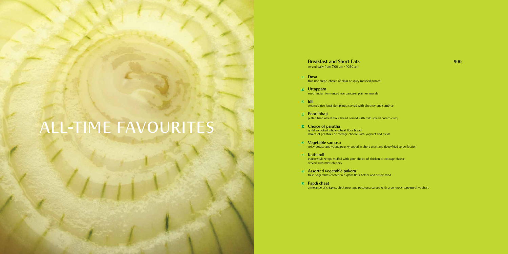### **ALL-TIME FAVOURITES**

### **Breakfast and Short Eats 900**

served daily from 7:00 am - 10:30 am

### **Dosa**

thin rice crepe, choice of plain or spicy mashed potato

### **Uttappam**

south indian fermented rice pancake, plain or masala

#### **Idli**

steamed rice lentil dumplings; served with chutney and sambhar

### **Poori bhaji**

puffed fried wheat flour bread; served with mild spiced potato curry

### **Choice of paratha**

griddle-cooked whole-wheat flour bread, choice of potatoes or cottage cheese with yoghurt and pickle

### **Vegetable samosa**

spicy potato and young peas wrapped in short crust and deep-fried to perfection

### **E** Kathi roll

indian-style wraps stuffed with your choice of chicken or cottage cheese; served with mint chutney

#### **Assorted vegetable pakora**

fresh vegetables coated in a gram flour batter and crispy-fried

### **Papdi chaat**

a mélange of crispies, chick peas and potatoes; served with a generous topping of yoghurt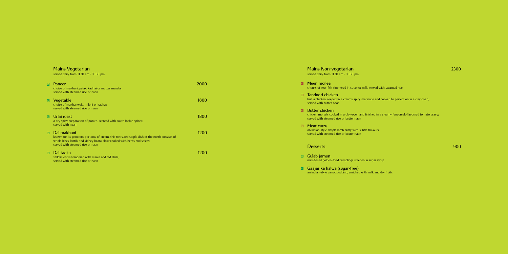### **Mains Vegetarian**

served daily from 11:30 am - 10:30 pm

| $\boxed{\bullet}$ | Paneer<br>choice of makhani, palak, kadhai or mutter masala;<br>served with steamed rice or naan                                                                                                                            | 2000 |
|-------------------|-----------------------------------------------------------------------------------------------------------------------------------------------------------------------------------------------------------------------------|------|
| $\Box$            | Vegetable<br>choice of makhanwala, miloni or kadhai;<br>served with steamed rice or naan                                                                                                                                    | 1800 |
| $\boxed{\bullet}$ | Urlai roast<br>a dry spicy preparation of potato, scented with south indian spices;<br>served with naan                                                                                                                     | 1800 |
| $\Box$            | Dal makhani<br>known for its generous portions of cream, this treasured staple dish of the north consists of<br>whole black lentils and kidney beans slow-cooked with herbs and spices;<br>served with steamed rice or naan | 1200 |
| $\boxed{\bullet}$ | Dal tadka<br>yellow lentils tempered with cumin and red chilli;                                                                                                                                                             |      |

half a chicken, seeped in a creamy spicy marinade and cooked to perfection in a clay-oven; served with butter naan

### **Butter chicken**

chicken morsels cooked in a clay-oven and finished in a creamy fenugreek-flavoured tomato gravy; served with steamed rice or butter naan

served with steamed rice or naan

### **Mains Non-vegetarian 2300**

served daily from 11:30 am - 10:30 pm

### **Meen moilee**

chunks of seer fish simmered in coconut milk; served with steamed rice

### **Tandoori chicken**

### **Meat curry**

an indian-style simple lamb curry with subtle flavours; served with steamed rice or butter naan

### **Desserts 900**

### **Gulab jamun** milk-based golden-fried dumplings steepen in sugar syrup

### **Gaajar ka halwa (sugar-free)**

an indian-style carrot pudding, enriched with milk and dry fruits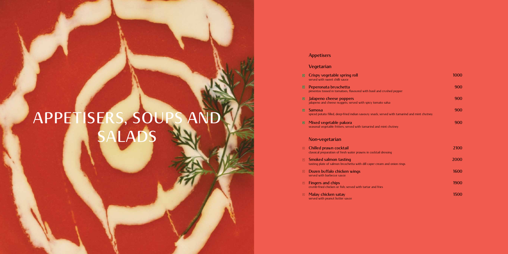# **APPETISERS, SOUPS AND SALADS**

| $\bullet$         | Crispy vegetable spring roll<br>served with sweet chilli sauce                                                | 1000 |
|-------------------|---------------------------------------------------------------------------------------------------------------|------|
| $\bullet$         | Peperonata bruschetta<br>pimentos tossed in tomatoes, flavoured with basil and crushed pepper                 | 900  |
| $\bullet$         | Jalapeno cheese poppers<br>jalapeno and cheese nuggets; served with spicy tomato salsa                        | 900  |
| $\bullet$         | <b>Samosa</b><br>spiced potato filled, deep-fried indian savoury snack; served with tamarind and mint chutney | 900  |
| $\boxed{\bullet}$ | Mixed vegetable pakora<br>seasonal vegetable fritters; served with tamarind and mint chutney                  | 900  |
|                   | Non-vegetarian                                                                                                |      |
| $\bullet$         | Chilled prawn cocktail<br>classical preparation of fresh water prawns in cocktail dressing                    | 2100 |
| $\bullet$         | <b>Smoked salmon tasting</b><br>tasting plate of salmon bruschetta with dill caper cream and onion rings      | 2000 |
| $\bullet$         | Dozen buffalo chicken wings<br>served with barbecue sauce                                                     | 1600 |
| $\bullet$         | <b>Fingers and chips</b><br>crumb-fried chicken or fish; served with tartar and fries                         | 1900 |
| $\bullet$         | Malay chicken satay<br>served with peanut butter sauce                                                        | 1500 |

### **Appetisers**

### **Vegetarian**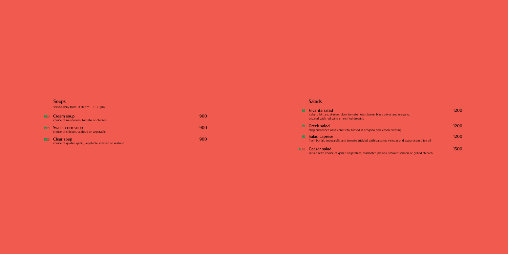### **Salads**

**z** 

| $\bullet$ | Vivanta salad<br>iceberg lettuce, skinless plum tomato, feta cheese, black olives and oregano,<br>drizzled with red wine emulsified dressing | 1200 |
|-----------|----------------------------------------------------------------------------------------------------------------------------------------------|------|
| $\bullet$ | <b>Greek salad</b><br>crisp cucumber, olives and feta, tossed in oregano and lemon dressing                                                  | 1200 |
| ⋓         | <b>Salad caprese</b><br>fresh buffalo mozzarella and tomato trickled with balsamic vinegar and extra virgin olive oil                        | 1200 |
|           | <b>DE Caesar salad</b><br>served with choice of grilled vegetables, marinated prawns, smoked salmon or grilled chicken                       | 1500 |

| $\begin{array}{ c c } \hline \textbf{0} & \textbf{0} \end{array}$ | Cream soup<br>choice of mushroom, tomato or chicken                  | 900 |
|-------------------------------------------------------------------|----------------------------------------------------------------------|-----|
| $\bullet$                                                         | Sweet corn soup<br>choice of chicken, seafood or vegetable           | 900 |
| $\begin{array}{ c c }\hline \textbf{0} & \textbf{0}\end{array}$   | Clear soup<br>choice of golden garlic, vegetable, chicken or seafood | 900 |

### **Soups**

served daily from 11:30 am - 10:30 pm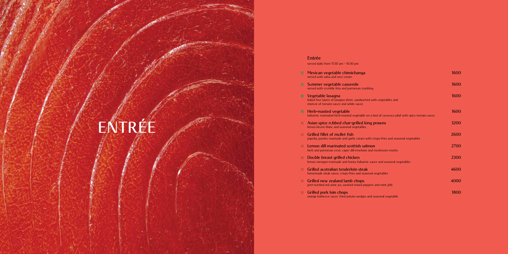### **Entrée**

served daily from 11:30 am - 10:30 pm

| $\bullet$             | Mexican vegetable chimichanga<br>served with salsa and sour cream                                                                  | 1600 |
|-----------------------|------------------------------------------------------------------------------------------------------------------------------------|------|
| $\bullet$             | Summer vegetable casserole<br>served with crumble feta and parmesan crackling                                                      | 1600 |
| $\boxed{\bullet}$     | Vegetable lasagna<br>baked four layers of lasagna sheet, sandwiched with vegetables and<br>mixture of tomato sauce and white sauce | 1600 |
| $\hfill \Box$         | <b>Herb-roasted vegetable</b><br>balsamic marinated herb-roasted vegetable on a bed of couscous pilaf with spicy tomato sauce      | 1600 |
| $\hfill \Box$         | Asian spice rubbed char-grilled king prawns<br>lemon beurre blanc and seasonal vegetables                                          | 3200 |
| $\bullet$             | <b>Grilled fillet of mullet fish</b><br>paprika, parsley marinade and garlic cream with crispy-fries and seasonal vegetables       | 2600 |
| $\hfill \bullet$      | Lemon dill marinated scottish salmon<br>herb and parmesan crust, caper dill emulsion and mushroom risotto                          | 2700 |
| $\hfill \Box$         | Double breast grilled chicken<br>lemon tarragon marinade and honey balsamic sauce and seasonal vegetables                          | 2300 |
| $\hfill \blacksquare$ | Grilled australian tenderloin steak<br>homemade steak sauce, crispy-fries and seasonal vegetables                                  | 4600 |
| $\hbox{\small\bf o}$  | Grilled new zealand lamb chops<br>port-scented red wine jus, sautéed mixed peppers and mint jelly                                  | 4000 |
| $\bullet$             | <b>Grilled pork loin chops</b><br>orange barbecue sauce, fried potato wedges and seasonal vegetable                                | 1800 |

# **ENTRÉE**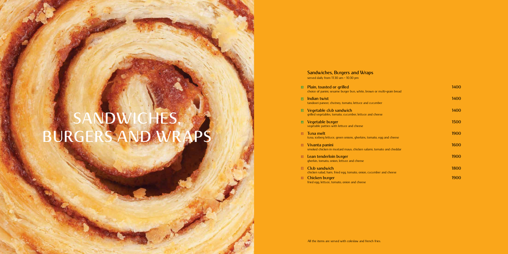### **SANDWICHES, BURGERS AND WRAPS**

### **Sandwiches, Burgers and Wraps**

served daily from 11:30 am - 10:30 pm

| $\hfill \bullet$                                                | <b>Plain, toasted or grilled</b><br>choice of panini, sesame burger bun, white, brown or multi-grain bread | 1400 |
|-----------------------------------------------------------------|------------------------------------------------------------------------------------------------------------|------|
| $\bullet$                                                       | <b>Indian twist</b><br>tandoori paneer, chutney, tomato, lettuce and cucumber                              | 1400 |
| $\vert \bullet \vert$                                           | Vegetable club sandwich<br>grilled vegetables, tomato, cucumber, lettuce and cheese                        | 1400 |
| $\boxed{\bullet}$                                               | Vegetable burger<br>vegetable patties with lettuce and cheese                                              | 1500 |
| $\hfill \bullet$                                                | Tuna melt<br>tuna, iceberg lettuce, green onions, gherkins, tomato, egg and cheese                         | 1900 |
| $\begin{array}{ c } \hline \textbf{0} & \textbf{0} \end{array}$ | Vivanta panini<br>smoked chicken in mustard mayo, chicken salami, tomato and cheddar                       | 1600 |
| $\bullet$                                                       | Lean tenderloin burger<br>gherkin, tomato, onion, lettuce and cheese                                       | 1900 |
| $\boxed{\bullet}$                                               | Club sandwich<br>chicken salad, ham, fried egg, tomato, onion, cucumber and cheese                         | 1800 |
| $\boxed{\bullet}$                                               | Chicken burger<br>fried egg, lettuce, tomato, onion and cheese                                             | 1900 |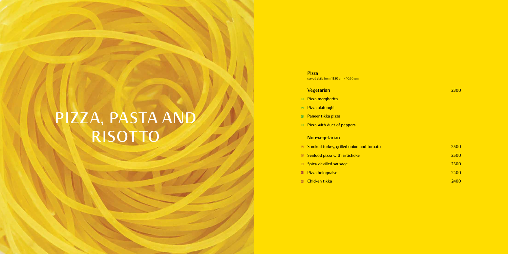### **PIZZA, PASTA A R**

### **Pizza**

served daily from 11:30 am - 10:30 pm

### **Vegetarian 2300**

### **Pizza margherita**

- **Pizza alafunghi**
- **Paneer tikka pizza**
- **Pizza with duet of peppers**

### **Non-vegetarian**

| $\Box$ | <b>Smoked turkey, grilled onion and tomato</b> | 2500 |
|--------|------------------------------------------------|------|
| $\Box$ | Seafood pizza with artichoke                   | 2500 |
|        | <b>E</b> Spicy devilled sausage                | 2300 |
|        | <b>E</b> Pizza bolognaise                      | 2400 |
|        | <b>E</b> Chicken tikka                         | 2400 |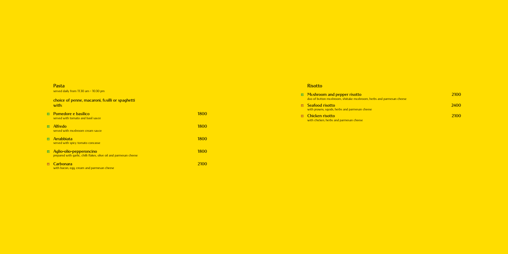### **Risotto**

|           | • Mushroom and pepper risotto<br>duo of button mushroom, shiitake mushroom, herbs and parmesan cheese | 2100        |
|-----------|-------------------------------------------------------------------------------------------------------|-------------|
| $\bullet$ | Seafood risotto<br>with prawns, squids, herbs and parmesan cheese                                     | <b>2400</b> |
|           | <b>E</b> Chicken risotto<br>with chicken, herbs and parmesan cheese                                   | 2100        |

### **Pasta**

served daily from 11:30 am - 10:30 pm

|                   | choice of penne, macaroni, fusilli or spaghetti<br>with:                                      |             |
|-------------------|-----------------------------------------------------------------------------------------------|-------------|
|                   | • Pomedore e basilico<br>served with tomato and basil sauce                                   | 1800        |
|                   | <b>•</b> Alfredo<br>served with mushroom cream sauce                                          | 1800        |
| $\boxed{\bullet}$ | <b>Arrabbiata</b><br>served with spicy tomato concasse                                        | 1800        |
| $\boxed{\bullet}$ | Aglio-olio-pepperoncino<br>prepared with qarlic, chilli flakes, olive oil and parmesan cheese | <b>1800</b> |
| $\bullet$         | <b>Carbonara</b><br>with bacon, egg, cream and parmesan cheese                                | 2100        |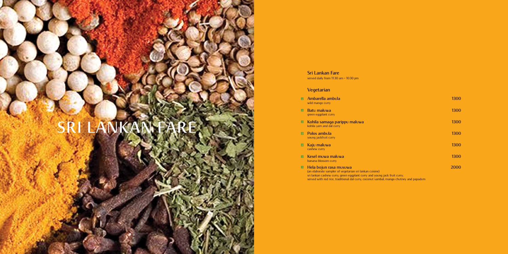### SRI LANKAN FA

### **Sri Lankan Fare**

served daily from 11:30 am - 10:30 pm

### **Vegetarian**

| $\bullet$         | Ambarella ambula<br>wild mango curry                                                                                                                             | 1300 |
|-------------------|------------------------------------------------------------------------------------------------------------------------------------------------------------------|------|
| $\boxed{\bullet}$ | Batu maluwa<br>green eggplant curry                                                                                                                              | 1300 |
| $\bullet$         | Kohila samaga parippu maluwa<br>kohila yam and dal curry                                                                                                         | 1300 |
| $\boxed{\bullet}$ | <b>Polos ambula</b><br>young jackfruit curry                                                                                                                     | 1300 |
| $\bullet$         | Kaju maluwa<br>cashew curry                                                                                                                                      | 1300 |
| $\boxed{\bullet}$ | Kesel muwa maluwa<br>banana blossom curry                                                                                                                        | 1300 |
| $\boxed{\bullet}$ | - Hela bojun rasa musuwa<br>(an elaborate sampler of vegetarian sri lankan cuisine)<br>sri lankan cashew curry, green eggplant curry and young jack fruit curry; | 2000 |

served with red rice, traditional dal curry, coconut sambal, mango chutney and papadum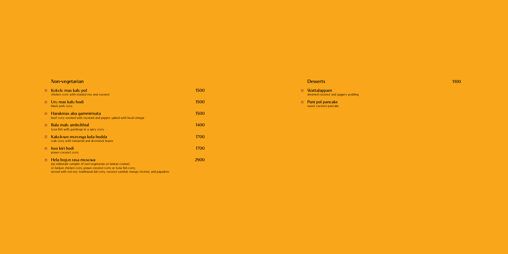### **Non-vegetarian**

| $\begin{array}{ c } \hline \textbf{0} & \textbf{0} \end{array}$ | – Kukulu mas kalu pol<br>chicken curry with roasted rice and coconut                                                                                                                                                                                 | 1500 |
|-----------------------------------------------------------------|------------------------------------------------------------------------------------------------------------------------------------------------------------------------------------------------------------------------------------------------------|------|
| $\boxed{\bullet}$                                               | Uru mas kalu hodi<br>black pork curry                                                                                                                                                                                                                | 1500 |
| $\hbox{\small\bf O}$                                            | Harakmas aba gammirisata<br>beef curry scented with mustard and pepper, spiked with local vinegar                                                                                                                                                    | 1500 |
| $\bullet$                                                       | Bala malu ambulthial<br>tuna fish with gamboge in a spicy curry                                                                                                                                                                                      | 1400 |
| $\hbox{\small\bf o}$                                            | Kakuluwo murunga kola hodda<br>crab curry with tamarind and drumstick leaves                                                                                                                                                                         | 1700 |
| $\bullet$                                                       | <b>Isso kiri hodi</b><br>prawn coconut curry                                                                                                                                                                                                         | 1700 |
| $\hbox{\small\bf O}$                                            | Hela bojun rasa musuwa<br>(an elaborate sampler of non-vegetarian sri lankan cuisine)<br>sri lankan chicken curry, prawn coconut curry or tuna fish curry;<br>served with red rice, traditional dal curry, coconut sambal, mango chutney and papadum | 2900 |

### **Desserts 1100**

#### **Wattalappam** steamed coconut and jaggery pudding

#### **Pani pol pancake** sweet coconut pancake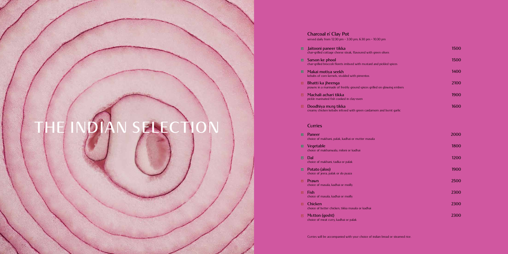### **Charcoal n' Clay Pot**

served daily from 12:30 pm - 3:30 pm; 6:30 pm - 10:30 pm

| $\blacksquare$    | Jaitooni paneer tikka<br>char-grilled cottage cheese steak, flavoured with green olives      | 1500 |
|-------------------|----------------------------------------------------------------------------------------------|------|
| $\bullet$         | Sarson ke phool<br>char-grilled broccoli florets imbued with mustard and pickled spices      | 1500 |
| $\blacksquare$    | Makai motiya seekh<br>kebabs of corn kernels, studded with pimentos                          | 1400 |
| $\boxed{\bullet}$ | Bhatti ka jheenga<br>prawns in a marinade of freshly ground spices grilled on glowing embers | 2100 |
| $\bullet$         | Machali achari tikka<br>pickle marinated fish cooked in clay-oven                            | 1900 |
| $\bullet$         | Doodhiya murg tikka<br>creamy chicken kebabs infused with green cardamom and burnt garlic    | 1600 |
|                   | <b>Curries</b>                                                                               |      |
| $\boxed{\bullet}$ | Paneer<br>choice of makhani, palak, kadhai or mutter masala                                  |      |

| $\Box$            | <b>Vegetable</b><br>choice of makhanwala, miloni or kadhai         | 1800 |
|-------------------|--------------------------------------------------------------------|------|
| <u>o</u>          | Dal<br>choice of makhani, tadka or palak                           | 1200 |
| $\blacksquare$    | Potato (aloo)<br>choice of jeera, palak or do pyaza                | 1900 |
| $\boxed{\bullet}$ | Prawn<br>choice of masala, kadhai or moilly                        | 2500 |
| $\boxed{\bullet}$ | Fish<br>choice of masala, kadhai or moilly                         | 2300 |
| $\bullet$         | <b>Chicken</b><br>choice of butter chicken, tikka masala or kadhai | 2300 |
| $\bullet$         | Mutton (gosht)<br>choice of meat curry, kadhai or palak            | 2300 |

Curries will be accompanied with your choice of indian bread or steamed rice.

## **The Indian Selection**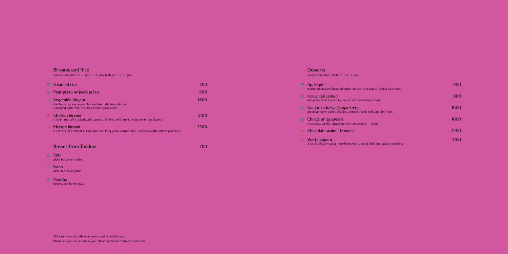### **Desserts**

served daily from 11:30 am - 10:30 pm

| $\bullet$         | Apple pie<br>warm cinnamon-flavoured apple pie with a scoop of vanilla ice cream                  | 900  |
|-------------------|---------------------------------------------------------------------------------------------------|------|
| $\bullet$         | Hot gulab jamun<br>dumpling of reduced milk; served with sweetened syrup                          | 900  |
| $\blacksquare$    | Gaajar ka halwa (sugar-free)<br>an indian-style carrot pudding, enriched with milk and dry fruits | 1000 |
| $\bullet$         | Choice of ice cream<br>chocolate, vanilla, strawberry, butterscotch or mango                      | 1000 |
| $\boxed{\bullet}$ | Chocolate walnut brownie                                                                          | 1200 |
| $\bullet$         | Wattalappam<br>a local delicacy cardamom-flavoured coconut milk and jaggery pudding               | 1100 |

### **Biryanis and Rice**

- **Roti** plain, butter or methi
- **Naan** plain, butter or garlic
- **Paratha** pudina, lachha or tawa

served daily from 12:30 pm - 3:30 pm; 6:30 pm - 10:30 pm

| $\blacksquare$ | <b>Steamed rice</b>                                                                                                           | 700  |
|----------------|-------------------------------------------------------------------------------------------------------------------------------|------|
| $\Box$         | Peas pulao or jeera pulao                                                                                                     | 900  |
| L              | Vegetable biryani<br>medley of spring vegetables and aromatic basmati rice,<br>flavoured with mint, coriander and brown onion | 1800 |
| $\Box$         | Chicken biryani<br>chicken morsels cooked with basmati, finished with mint, brown onion and kewra                             | 2100 |
| $\Box$         | Mutton biryani<br>a delicacy of choicest cut of lamb and long-grain basmati rice, flavoured with saffron and mace             | 2500 |

### **Breads from Tandoor 700**